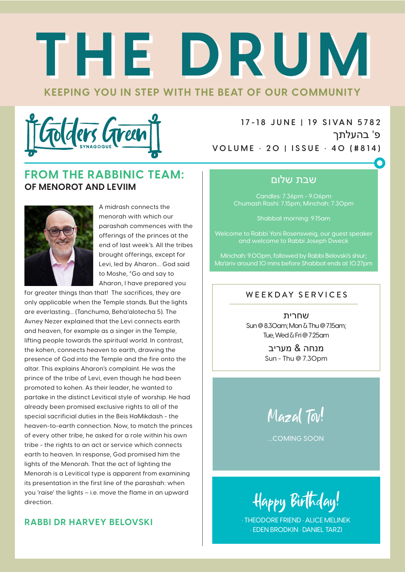# **KEEPING YOU IN STEP WITH THE BEAT OF OUR COMMUNITY THE DRUM THE DRUM**



**1 7 -1 8 J U N E | 1 9 S I VA N 5 78 2** פ' בהעלתך **VOLUME • 20 | ISSUE • 40 (#814)**

#### **FROM THE RABBINIC TEAM: OF MENOROT AND LEVIIM**



A midrash connects the menorah with which our parashah commences with the offerings of the princes at the end of last week's. All the tribes brought offerings, except for Levi, led by Aharon… God said to Moshe, "Go and say to Aharon, I have prepared you

for greater things than that! The sacrifices, they are only applicable when the Temple stands. But the lights are everlasting... (Tanchuma, Beha'alotecha 5). The Avney Nezer explained that the Levi connects earth and heaven, for example as a singer in the Temple, lifting people towards the spiritual world. In contrast, the kohen, connects heaven to earth, drawing the presence of God into the Temple and the fire onto the altar. This explains Aharon's complaint. He was the prince of the tribe of Levi, even though he had been promoted to kohen. As their leader, he wanted to partake in the distinct Levitical style of worship. He had already been promised exclusive rights to all of the special sacrificial duties in the Beis HaMikdash - the heaven-to-earth connection. Now, to match the princes of every other tribe, he asked for a role within his own tribe - the rights to an act or service which connects earth to heaven. In response, God promised him the lights of the Menorah. That the act of lighting the Menorah is a Levitical type is apparent from examining its presentation in the first line of the parashah: when you 'raise' the lights – i.e. move the flame in an upward direction.

#### **RABBI DR HARVEY BELOVSKI**

#### שבת שלום

Candles: 7.36pm - 9.06pm Chumash Rashi: 7.15pm; Minchah: 7.30pm

Shabbat morning: 9.15am

Welcome to Rabbi Yoni Rosensweig, our guest speaker and welcome to Rabbi Joseph Dweck

Minchah: 9.00pm, followed by Rabbi Belovski's shiur; Ma'ariv around 10 mins before Shabbat ends at 10.27pm

#### WEEKDAY SERVICES

שחרית Sun @ 8.30am; Mon & Thu @ 7.15am; Tue, Wed & Fri @ 7.25am

> מנחה & מעריב Sun - Thu @ 7.30pm

Mazal Tov!

...COMING SOON

Happy Birthday!

• THEODORE FRIEND • ALICE MELINEK • EDEN BRODKIN • DANIEL TARZI